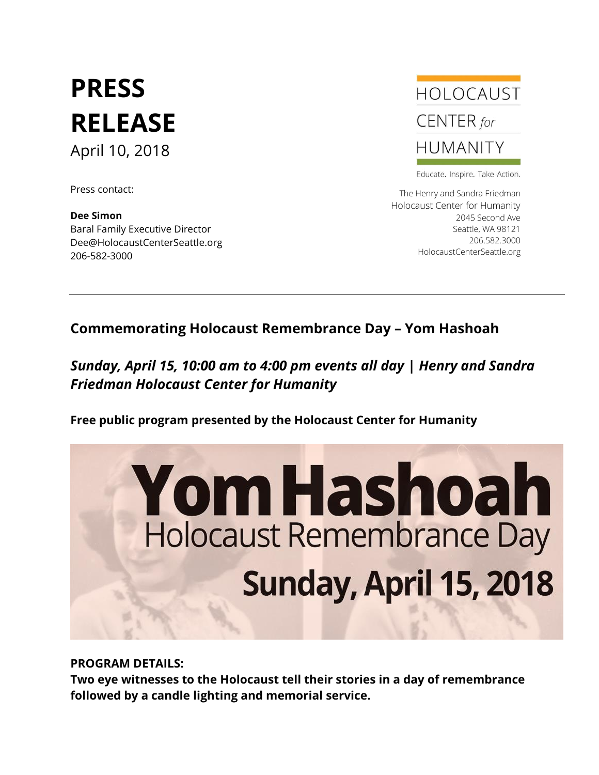## **PRESS RELEASE** April 10, 2018

Press contact:

**Dee Simon** Baral Family Executive Director Dee@HolocaustCenterSeattle.org 206-582-3000



Educate. Inspire. Take Action.

The Henry and Sandra Friedman Holocaust Center for Humanity 2045 Second Ave Seattle, WA 98121 206.582.3000 HolocaustCenterSeattle.org

## **Commemorating Holocaust Remembrance Day – Yom Hashoah**

## *Sunday, April 15, 10:00 am to 4:00 pm events all day* **|** *Henry and Sandra Friedman Holocaust Center for Humanity*

**Free public program presented by the Holocaust Center for Humanity** 



**PROGRAM DETAILS:**

**Two eye witnesses to the Holocaust tell their stories in a day of remembrance followed by a candle lighting and memorial service.**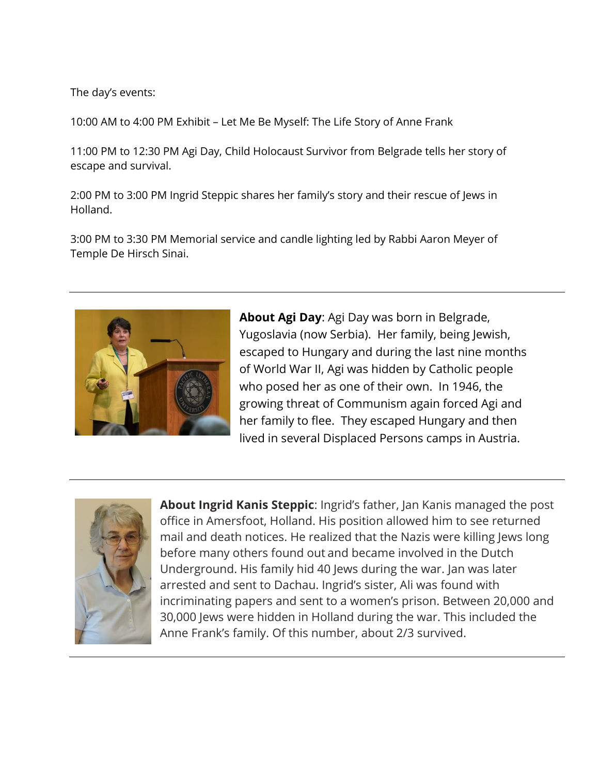The day's events:

10:00 AM to 4:00 PM Exhibit – Let Me Be Myself: The Life Story of Anne Frank

11:00 PM to 12:30 PM Agi Day, Child Holocaust Survivor from Belgrade tells her story of escape and survival.

2:00 PM to 3:00 PM Ingrid Steppic shares her family's story and their rescue of Jews in Holland.

3:00 PM to 3:30 PM Memorial service and candle lighting led by Rabbi Aaron Meyer of Temple De Hirsch Sinai.



**About Agi Day**: Agi Day was born in Belgrade, Yugoslavia (now Serbia). Her family, being Jewish, escaped to Hungary and during the last nine months of World War II, Agi was hidden by Catholic people who posed her as one of their own. In 1946, the growing threat of Communism again forced Agi and her family to flee. They escaped Hungary and then lived in several Displaced Persons camps in Austria.



**About Ingrid Kanis Steppic**: Ingrid's father, Jan Kanis managed the post office in Amersfoot, Holland. His position allowed him to see returned mail and death notices. He realized that the Nazis were killing Jews long before many others found out and became involved in the Dutch Underground. His family hid 40 Jews during the war. Jan was later arrested and sent to Dachau. Ingrid's sister, Ali was found with incriminating papers and sent to a women's prison. Between 20,000 and 30,000 Jews were hidden in Holland during the war. This included the Anne Frank's family. Of this number, about 2/3 survived.